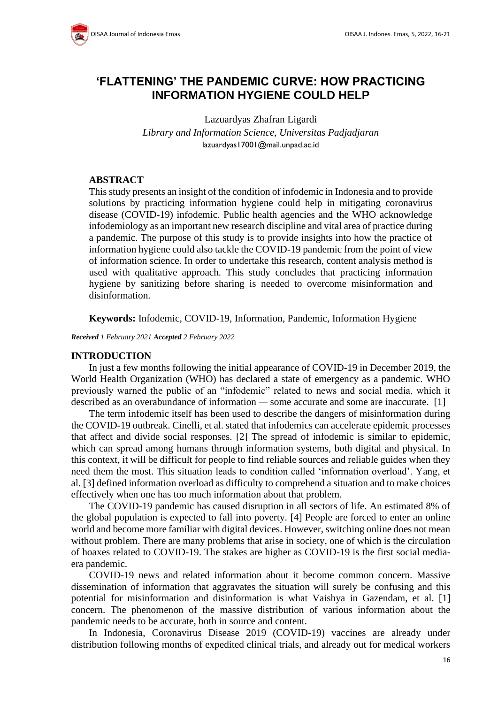# **'FLATTENING' THE PANDEMIC CURVE: HOW PRACTICING INFORMATION HYGIENE COULD HELP**

Lazuardyas Zhafran Ligardi *Library and Information Science, Universitas Padjadjaran* lazuardyas17001@mail.unpad.ac.id

### **ABSTRACT**

This study presents an insight of the condition of infodemic in Indonesia and to provide solutions by practicing information hygiene could help in mitigating coronavirus disease (COVID-19) infodemic. Public health agencies and the WHO acknowledge infodemiology as an important new research discipline and vital area of practice during a pandemic. The purpose of this study is to provide insights into how the practice of information hygiene could also tackle the COVID-19 pandemic from the point of view of information science. In order to undertake this research, content analysis method is used with qualitative approach. This study concludes that practicing information hygiene by sanitizing before sharing is needed to overcome misinformation and disinformation.

**Keywords:** Infodemic, COVID-19, Information, Pandemic, Information Hygiene

*Received 1 February 2021 Accepted 2 February 2022*

#### **INTRODUCTION**

In just a few months following the initial appearance of COVID-19 in December 2019, the World Health Organization (WHO) has declared a state of emergency as a pandemic. WHO previously warned the public of an "infodemic" related to news and social media, which it described as an overabundance of information — some accurate and some are inaccurate. [1]

The term infodemic itself has been used to describe the dangers of misinformation during the COVID-19 outbreak. Cinelli, et al. stated that infodemics can accelerate epidemic processes that affect and divide social responses. [2] The spread of infodemic is similar to epidemic, which can spread among humans through information systems, both digital and physical. In this context, it will be difficult for people to find reliable sources and reliable guides when they need them the most. This situation leads to condition called 'information overload'. Yang, et al. [3] defined information overload as difficulty to comprehend a situation and to make choices effectively when one has too much information about that problem.

The COVID-19 pandemic has caused disruption in all sectors of life. An estimated 8% of the global population is expected to fall into poverty. [4] People are forced to enter an online world and become more familiar with digital devices. However, switching online does not mean without problem. There are many problems that arise in society, one of which is the circulation of hoaxes related to COVID-19. The stakes are higher as COVID-19 is the first social mediaera pandemic.

COVID-19 news and related information about it become common concern. Massive dissemination of information that aggravates the situation will surely be confusing and this potential for misinformation and disinformation is what Vaishya in Gazendam, et al. [1] concern. The phenomenon of the massive distribution of various information about the pandemic needs to be accurate, both in source and content.

In Indonesia, Coronavirus Disease 2019 (COVID-19) vaccines are already under distribution following months of expedited clinical trials, and already out for medical workers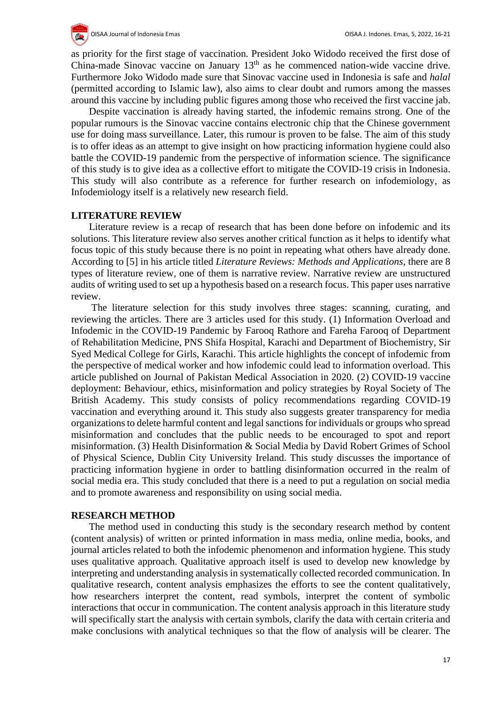

as priority for the first stage of vaccination. President Joko Widodo received the first dose of China-made Sinovac vaccine on January 13<sup>th</sup> as he commenced nation-wide vaccine drive. Furthermore Joko Widodo made sure that Sinovac vaccine used in Indonesia is safe and *halal* (permitted according to Islamic law), also aims to clear doubt and rumors among the masses around this vaccine by including public figures among those who received the first vaccine jab.

Despite vaccination is already having started, the infodemic remains strong. One of the popular rumours is the Sinovac vaccine contains electronic chip that the Chinese government use for doing mass surveillance. Later, this rumour is proven to be false. The aim of this study is to offer ideas as an attempt to give insight on how practicing information hygiene could also battle the COVID-19 pandemic from the perspective of information science. The significance of this study is to give idea as a collective effort to mitigate the COVID-19 crisis in Indonesia. This study will also contribute as a reference for further research on infodemiology, as Infodemiology itself is a relatively new research field.

#### **LITERATURE REVIEW**

Literature review is a recap of research that has been done before on infodemic and its solutions. This literature review also serves another critical function as it helps to identify what focus topic of this study because there is no point in repeating what others have already done. According to [5] in his article titled *Literature Reviews: Methods and Applications*, there are 8 types of literature review, one of them is narrative review. Narrative review are unstructured audits of writing used to set up a hypothesis based on a research focus. This paper uses narrative review.

The literature selection for this study involves three stages: scanning, curating, and reviewing the articles. There are 3 articles used for this study. (1) Information Overload and Infodemic in the COVID-19 Pandemic by Farooq Rathore and Fareha Farooq of Department of Rehabilitation Medicine, PNS Shifa Hospital, Karachi and Department of Biochemistry, Sir Syed Medical College for Girls, Karachi. This article highlights the concept of infodemic from the perspective of medical worker and how infodemic could lead to information overload. This article published on Journal of Pakistan Medical Association in 2020. (2) COVID-19 vaccine deployment: Behaviour, ethics, misinformation and policy strategies by Royal Society of The British Academy. This study consists of policy recommendations regarding COVID-19 vaccination and everything around it. This study also suggests greater transparency for media organizations to delete harmful content and legal sanctions for individuals or groups who spread misinformation and concludes that the public needs to be encouraged to spot and report misinformation. (3) Health Disinformation & Social Media by David Robert Grimes of School of Physical Science, Dublin City University Ireland. This study discusses the importance of practicing information hygiene in order to battling disinformation occurred in the realm of social media era. This study concluded that there is a need to put a regulation on social media and to promote awareness and responsibility on using social media.

#### **RESEARCH METHOD**

The method used in conducting this study is the secondary research method by content (content analysis) of written or printed information in mass media, online media, books, and journal articles related to both the infodemic phenomenon and information hygiene. This study uses qualitative approach. Qualitative approach itself is used to develop new knowledge by interpreting and understanding analysis in systematically collected recorded communication. In qualitative research, content analysis emphasizes the efforts to see the content qualitatively, how researchers interpret the content, read symbols, interpret the content of symbolic interactions that occur in communication. The content analysis approach in this literature study will specifically start the analysis with certain symbols, clarify the data with certain criteria and make conclusions with analytical techniques so that the flow of analysis will be clearer. The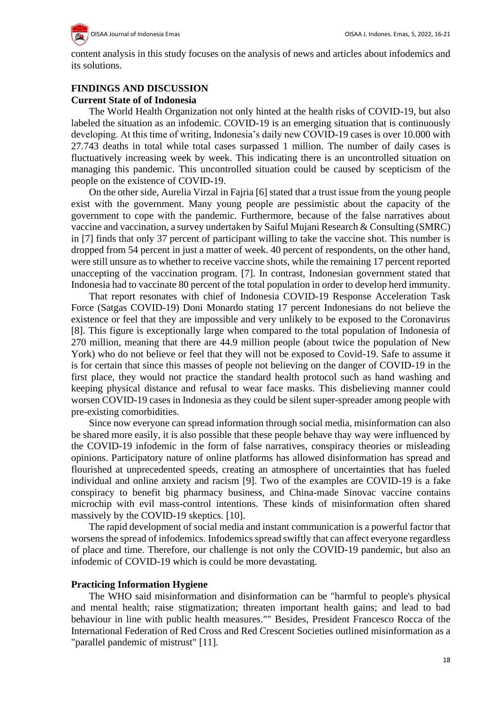content analysis in this study focuses on the analysis of news and articles about infodemics and its solutions.

## **FINDINGS AND DISCUSSION**

#### **Current State of of Indonesia**

The World Health Organization not only hinted at the health risks of COVID-19, but also labeled the situation as an infodemic. COVID-19 is an emerging situation that is continuously developing. At this time of writing, Indonesia's daily new COVID-19 cases is over 10.000 with 27.743 deaths in total while total cases surpassed 1 million. The number of daily cases is fluctuatively increasing week by week. This indicating there is an uncontrolled situation on managing this pandemic. This uncontrolled situation could be caused by scepticism of the people on the existence of COVID-19.

On the other side, Aurelia Virzal in Fajria [6] stated that a trust issue from the young people exist with the government. Many young people are pessimistic about the capacity of the government to cope with the pandemic. Furthermore, because of the false narratives about vaccine and vaccination, a survey undertaken by Saiful Mujani Research & Consulting (SMRC) in [7] finds that only 37 percent of participant willing to take the vaccine shot. This number is dropped from 54 percent in just a matter of week. 40 percent of respondents, on the other hand, were still unsure as to whether to receive vaccine shots, while the remaining 17 percent reported unaccepting of the vaccination program. [7]. In contrast, Indonesian government stated that Indonesia had to vaccinate 80 percent of the total population in order to develop herd immunity.

That report resonates with chief of Indonesia COVID-19 Response Acceleration Task Force (Satgas COVID-19) Doni Monardo stating 17 percent Indonesians do not believe the existence or feel that they are impossible and very unlikely to be exposed to the Coronavirus [8]. This figure is exceptionally large when compared to the total population of Indonesia of 270 million, meaning that there are 44.9 million people (about twice the population of New York) who do not believe or feel that they will not be exposed to Covid-19. Safe to assume it is for certain that since this masses of people not believing on the danger of COVID-19 in the first place, they would not practice the standard health protocol such as hand washing and keeping physical distance and refusal to wear face masks. This disbelieving manner could worsen COVID-19 cases in Indonesia as they could be silent super-spreader among people with pre-existing comorbidities.

Since now everyone can spread information through social media, misinformation can also be shared more easily, it is also possible that these people behave thay way were influenced by the COVID-19 infodemic in the form of false narratives, conspiracy theories or misleading opinions. Participatory nature of online platforms has allowed disinformation has spread and flourished at unprecedented speeds, creating an atmosphere of uncertainties that has fueled individual and online anxiety and racism [9]. Two of the examples are COVID-19 is a fake conspiracy to benefit big pharmacy business, and China-made Sinovac vaccine contains microchip with evil mass-control intentions. These kinds of misinformation often shared massively by the COVID-19 skeptics. [10].

The rapid development of social media and instant communication is a powerful factor that worsens the spread of infodemics. Infodemics spread swiftly that can affect everyone regardless of place and time. Therefore, our challenge is not only the COVID-19 pandemic, but also an infodemic of COVID-19 which is could be more devastating.

#### **Practicing Information Hygiene**

The WHO said misinformation and disinformation can be "harmful to people's physical and mental health; raise stigmatization; threaten important health gains; and lead to bad behaviour in line with public health measures."" Besides, President Francesco Rocca of the International Federation of Red Cross and Red Crescent Societies outlined misinformation as a "parallel pandemic of mistrust" [11].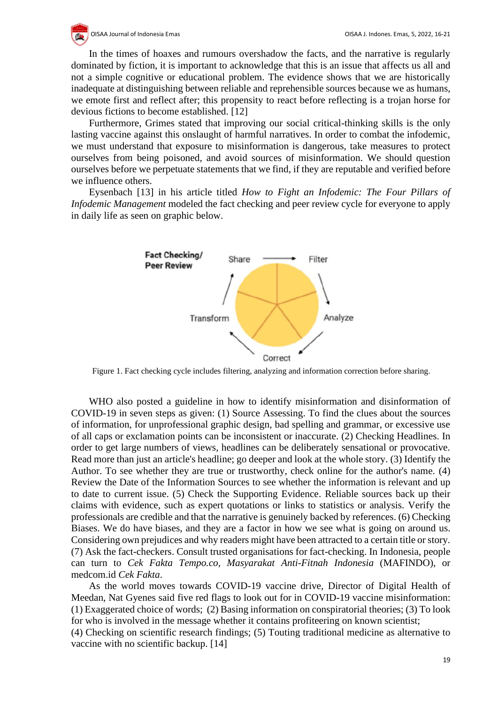OISAA Journal of Indonesia Emas OISAA J. Indones. Emas, 5, 2022, 16-21

In the times of hoaxes and rumours overshadow the facts, and the narrative is regularly dominated by fiction, it is important to acknowledge that this is an issue that affects us all and not a simple cognitive or educational problem. The evidence shows that we are historically inadequate at distinguishing between reliable and reprehensible sources because we as humans, we emote first and reflect after; this propensity to react before reflecting is a trojan horse for devious fictions to become established. [12]

Furthermore, Grimes stated that improving our social critical-thinking skills is the only lasting vaccine against this onslaught of harmful narratives. In order to combat the infodemic, we must understand that exposure to misinformation is dangerous, take measures to protect ourselves from being poisoned, and avoid sources of misinformation. We should question ourselves before we perpetuate statements that we find, if they are reputable and verified before we influence others.

Eysenbach [13] in his article titled *How to Fight an Infodemic: The Four Pillars of Infodemic Management* modeled the fact checking and peer review cycle for everyone to apply in daily life as seen on graphic below.



Figure 1. Fact checking cycle includes filtering, analyzing and information correction before sharing.

WHO also posted a guideline in how to identify misinformation and disinformation of COVID-19 in seven steps as given: (1) Source Assessing. To find the clues about the sources of information, for unprofessional graphic design, bad spelling and grammar, or excessive use of all caps or exclamation points can be inconsistent or inaccurate. (2) Checking Headlines. In order to get large numbers of views, headlines can be deliberately sensational or provocative. Read more than just an article's headline; go deeper and look at the whole story. (3) Identify the Author. To see whether they are true or trustworthy, check online for the author's name. (4) Review the Date of the Information Sources to see whether the information is relevant and up to date to current issue. (5) Check the Supporting Evidence. Reliable sources back up their claims with evidence, such as expert quotations or links to statistics or analysis. Verify the professionals are credible and that the narrative is genuinely backed by references. (6) Checking Biases. We do have biases, and they are a factor in how we see what is going on around us. Considering own prejudices and why readers might have been attracted to a certain title or story. (7) Ask the fact-checkers. Consult trusted organisations for fact-checking. In Indonesia, people can turn to *Cek Fakta Tempo.co, Masyarakat Anti-Fitnah Indonesia* (MAFINDO), or medcom.id *Cek Fakta*.

As the world moves towards COVID-19 vaccine drive, Director of Digital Health of Meedan, Nat Gyenes said five red flags to look out for in COVID-19 vaccine misinformation: (1) Exaggerated choice of words; (2) Basing information on conspiratorial theories; (3) To look for who is involved in the message whether it contains profiteering on known scientist;

(4) Checking on scientific research findings; (5) Touting traditional medicine as alternative to vaccine with no scientific backup. [14]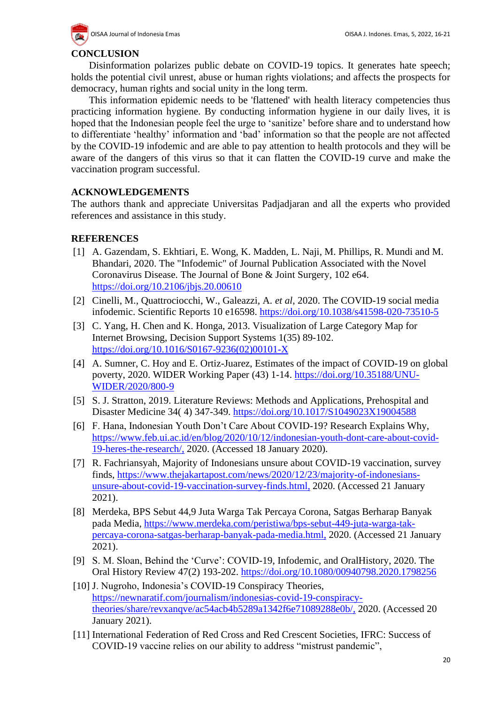

## **CONCLUSION**

Disinformation polarizes public debate on COVID-19 topics. It generates hate speech; holds the potential civil unrest, abuse or human rights violations; and affects the prospects for democracy, human rights and social unity in the long term.

This information epidemic needs to be 'flattened' with health literacy competencies thus practicing information hygiene. By conducting information hygiene in our daily lives, it is hoped that the Indonesian people feel the urge to 'sanitize' before share and to understand how to differentiate 'healthy' information and 'bad' information so that the people are not affected by the COVID-19 infodemic and are able to pay attention to health protocols and they will be aware of the dangers of this virus so that it can flatten the COVID-19 curve and make the vaccination program successful.

## **ACKNOWLEDGEMENTS**

The authors thank and appreciate Universitas Padjadjaran and all the experts who provided references and assistance in this study.

## **REFERENCES**

- [1] A. Gazendam, S. Ekhtiari, E. Wong, K. Madden, L. Naji, M. Phillips, R. Mundi and M. Bhandari, 2020. The "Infodemic" of Journal Publication Associated with the Novel Coronavirus Disease. The Journal of Bone & Joint Surgery*,* 102 e64. <https://doi.org/10.2106/jbjs.20.00610>
- [2] Cinelli, M., Quattrociocchi, W., Galeazzi, A. *et al,* 2020. The COVID-19 social media infodemic. Scientific Reports 10 e16598.<https://doi.org/10.1038/s41598-020-73510-5>
- [3] C. Yang, H. Chen and K. Honga, 2013. Visualization of Large Category Map for Internet Browsing, Decision Support Systems 1(35) 89-102. [https://doi.org/10.1016/S0167-9236\(02\)00101-X](https://doi.org/10.1016/S0167-9236(02)00101-X)
- [4] A. Sumner, C. Hoy and E. Ortiz-Juarez, Estimates of the impact of COVID-19 on global poverty, 2020. WIDER Working Paper (43) 1-14. [https://doi.org/10.35188/UNU-](https://doi.org/10.35188/UNU-WIDER/2020/800-9)[WIDER/2020/800-9](https://doi.org/10.35188/UNU-WIDER/2020/800-9)
- [5] S. J. Stratton, 2019. Literature Reviews: Methods and Applications, Prehospital and Disaster Medicine 34( 4) 347-349.<https://doi.org/10.1017/S1049023X19004588>
- [6] F. Hana, Indonesian Youth Don't Care About COVID-19? Research Explains Why, [https://www.feb.ui.ac.id/en/blog/2020/10/12/indonesian-youth-dont-care-about-covid-](https://www.feb.ui.ac.id/en/blog/2020/10/12/indonesian-youth-dont-care-about-covid-19-heres-the-research/)[19-heres-the-research/,](https://www.feb.ui.ac.id/en/blog/2020/10/12/indonesian-youth-dont-care-about-covid-19-heres-the-research/) 2020. (Accessed 18 January 2020).
- [7] R. Fachriansyah, Majority of Indonesians unsure about COVID-19 vaccination, survey finds, [https://www.thejakartapost.com/news/2020/12/23/majority-of-indonesians](https://www.thejakartapost.com/news/2020/12/23/majority-of-indonesians-unsure-about-covid-19-vaccination-survey-finds.html)[unsure-about-covid-19-vaccination-survey-finds.html,](https://www.thejakartapost.com/news/2020/12/23/majority-of-indonesians-unsure-about-covid-19-vaccination-survey-finds.html) 2020. (Accessed 21 January 2021).
- [8] Merdeka, BPS Sebut 44,9 Juta Warga Tak Percaya Corona, Satgas Berharap Banyak pada Media, [https://www.merdeka.com/peristiwa/bps-sebut-449-juta-warga-tak](https://www.merdeka.com/peristiwa/bps-sebut-449-juta-warga-tak-percaya-corona-satgas-berharap-banyak-pada-media.html)[percaya-corona-satgas-berharap-banyak-pada-media.html,](https://www.merdeka.com/peristiwa/bps-sebut-449-juta-warga-tak-percaya-corona-satgas-berharap-banyak-pada-media.html) 2020. (Accessed 21 January 2021).
- [9] S. M. Sloan, Behind the 'Curve': COVID-19, Infodemic, and OralHistory, 2020. The Oral History Review 47(2) 193-202.<https://doi.org/10.1080/00940798.2020.1798256>
- [10] J. Nugroho, Indonesia's COVID-19 Conspiracy Theories, [https://newnaratif.com/journalism/indonesias-covid-19-conspiracy](https://newnaratif.com/journalism/indonesias-covid-19-conspiracy-theories/share/revxanqve/ac54acb4b5289a1342f6e71089288e0b/)[theories/share/revxanqve/ac54acb4b5289a1342f6e71089288e0b/,](https://newnaratif.com/journalism/indonesias-covid-19-conspiracy-theories/share/revxanqve/ac54acb4b5289a1342f6e71089288e0b/) 2020. (Accessed 20 January 2021).
- [11] International Federation of Red Cross and Red Crescent Societies, IFRC: Success of COVID-19 vaccine relies on our ability to address "mistrust pandemic",